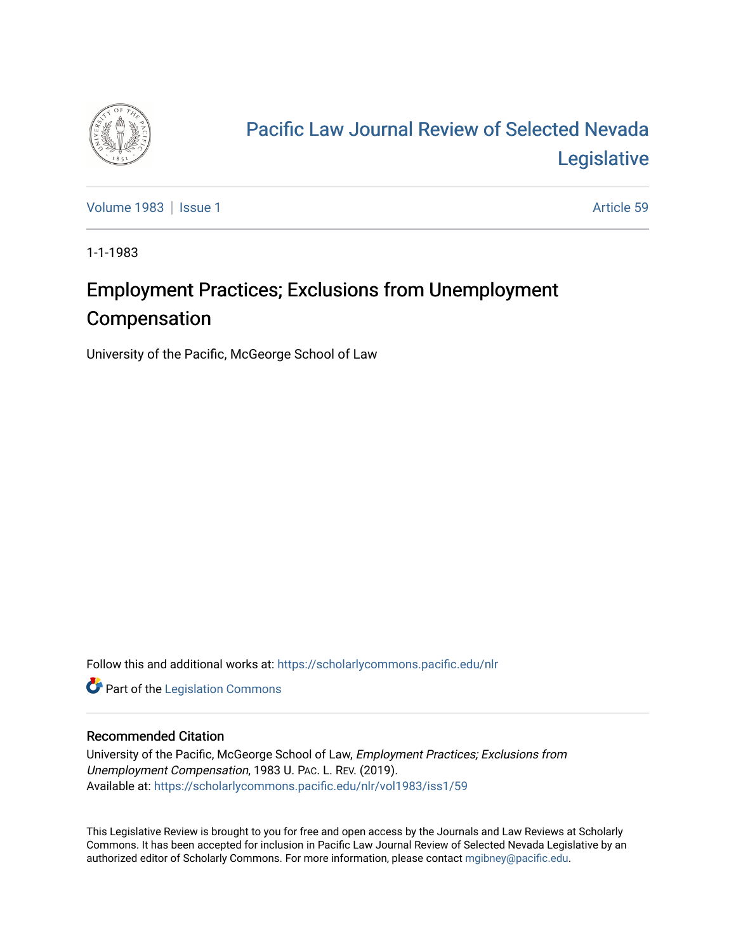

## [Pacific Law Journal Review of Selected Nevada](https://scholarlycommons.pacific.edu/nlr)  [Legislative](https://scholarlycommons.pacific.edu/nlr)

[Volume 1983](https://scholarlycommons.pacific.edu/nlr/vol1983) | [Issue 1](https://scholarlycommons.pacific.edu/nlr/vol1983/iss1) Article 59

1-1-1983

## Employment Practices; Exclusions from Unemployment Compensation

University of the Pacific, McGeorge School of Law

Follow this and additional works at: [https://scholarlycommons.pacific.edu/nlr](https://scholarlycommons.pacific.edu/nlr?utm_source=scholarlycommons.pacific.edu%2Fnlr%2Fvol1983%2Fiss1%2F59&utm_medium=PDF&utm_campaign=PDFCoverPages) 

**Part of the [Legislation Commons](http://network.bepress.com/hgg/discipline/859?utm_source=scholarlycommons.pacific.edu%2Fnlr%2Fvol1983%2Fiss1%2F59&utm_medium=PDF&utm_campaign=PDFCoverPages)** 

## Recommended Citation

University of the Pacific, McGeorge School of Law, Employment Practices; Exclusions from Unemployment Compensation, 1983 U. PAC. L. REV. (2019). Available at: [https://scholarlycommons.pacific.edu/nlr/vol1983/iss1/59](https://scholarlycommons.pacific.edu/nlr/vol1983/iss1/59?utm_source=scholarlycommons.pacific.edu%2Fnlr%2Fvol1983%2Fiss1%2F59&utm_medium=PDF&utm_campaign=PDFCoverPages)

This Legislative Review is brought to you for free and open access by the Journals and Law Reviews at Scholarly Commons. It has been accepted for inclusion in Pacific Law Journal Review of Selected Nevada Legislative by an authorized editor of Scholarly Commons. For more information, please contact [mgibney@pacific.edu](mailto:mgibney@pacific.edu).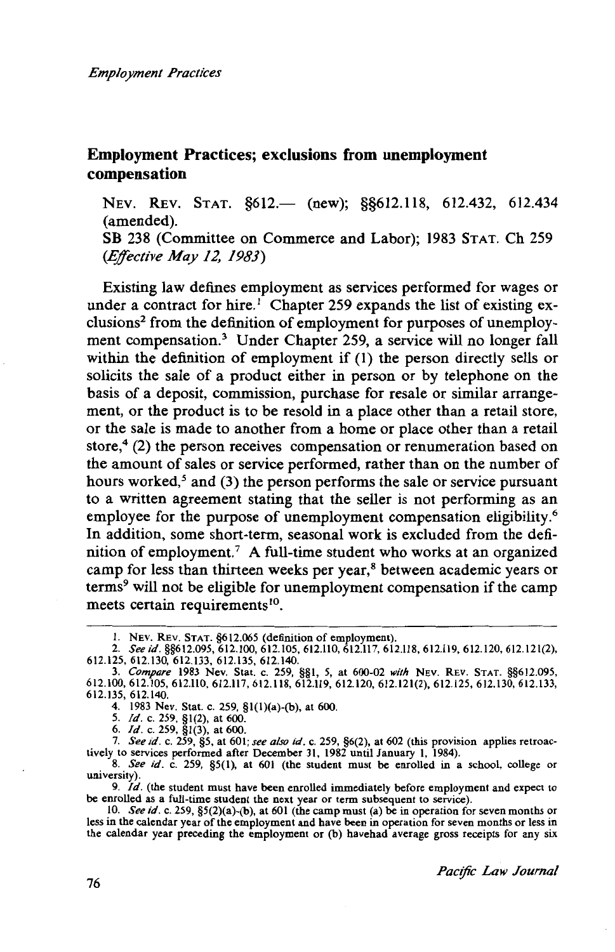## **Employment Practices; exclusions from unemployment compensation**

NEV. REV. STAT. §612.— (new); §§612.118, 612.432, 612.434 (amended). SB 238 (Committee on Commerce and Labor); 1983 STAT. Ch 259

*(Effective May 12, 1983)* 

Existing law defines employment as services performed for wages or under a contract for hire.<sup>1</sup> Chapter 259 expands the list of existing exclusions<sup>2</sup> from the definition of employment for purposes of unemployment compensation.3 Under Chapter 259, a service will no longer fall within the definition of employment if (1) the person directly sells or solicits the sale of a product either in person or by telephone on the basis of a deposit, commission, purchase for resale or similar arrangement, or the product is to be resold in a place other than a retail store, or the sale is made to another from a home or place other than a retail store, $4(2)$  the person receives compensation or renumeration based on the amount of sales or service performed, rather than on the number of hours worked, $5$  and (3) the person performs the sale or service pursuant to a written agreement stating that the seller is not performing as an employee for the purpose of unemployment compensation eligibility.<sup>6</sup> In addition, some short-term, seasonal work is excluded from the definition of employment.7 A full-time student who works at an organized camp for less than thirteen weeks per year,8 between academic years or terms9 will not be eligible for unemployment compensation if the camp meets certain requirements<sup>10</sup>.

7. *See id.* c. 259, §5, at 601; *see also id.* c. 259, §6(2), at 602 (this provision applies retroactively to services performed after December 31, 1982 until January I, 1984).

8. *See id.* c. 259, §5(1), at 601 (the student must be enrolled in a school, college or university).

9. */d.* (the student must have been enrolled immediately before employment and expect to be enrolled as a full-time student the next year or term subsequent to service).

10. *See id.* c. 259, §5(2)(a)-(b), at 601 (the camp must (a) be in operation for seven months or less in the calendar year of the employment and have been in operation for seven months or less in the calendar year preceding the employment or (b) havehad average gross receipts for any six

76 *Pacific Law Journal* 

I. NEv. REv. STAT. §612.065 (definition of employment).

<sup>2.</sup> *Seeid.* §§612.095, 612.100,612.105,612.110,612.117,612.118,612.119,612.120, 612.121(2), 612.125, 612.130, 612.133, 612.135, 612.140.

<sup>3.</sup> *Compare* 1983 Nev. Stat. c. 259, §§1, 5, at 600-02 *with* NEv. REV. STAT. §§612.095, 612.100,612.105,612.110,612.117,612.118,612.119,612.120, 612.121(2), 612.125,612.130,612.133, 612.135, 612.140.

<sup>4. 1983</sup> Nev. Stat. c. 259, §i(l)(a)-(b), at 600.

<sup>5.</sup> *Id.* c. 259, §1(2), at 600.

<sup>6.</sup> *Id.* c. 259, §1(3), at 600.